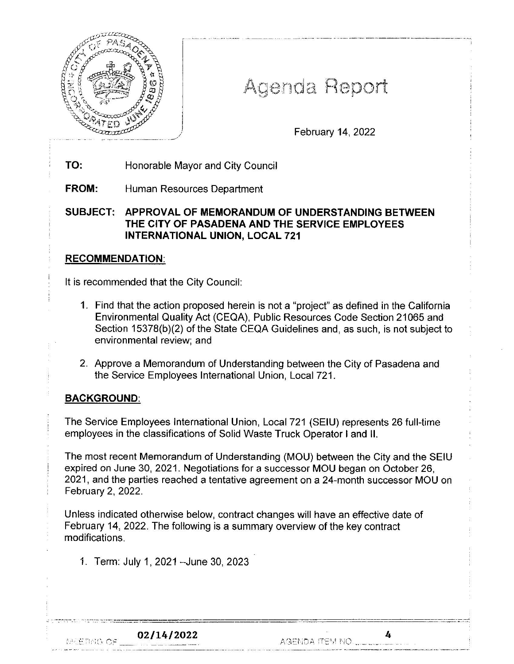

# Agenda Report

,, ... , ... -·--.. - -. ·······- <sup>~</sup>-····---·- . ·-··--·---· -... ·-· -· ···-·· ... -.... ,.,.\_ ·-· -·-·- - .. ·-··--·· ··- ··--· -··-- --·--··-~·----·---·--·-···-·· - ·· '

'

February 14, 2022

#### **TO:**  Honorable Mayor and City Council

 $\vert$ 

**FROM:**  Human Resources Department

**SUBJECT: APPROVAL OF MEMORANDUM OF UNDERSTANDING BETWEEN THE CITY OF PASADENA AND THE SERVICE EMPLOYEES INTERNATIONAL UNION, LOCAL 721** 

# **RECOMMENDATION:**

It is recommended that the City Council:

- 1. Find that the action proposed herein is not a "project" as defined in the California Environmental Quality Act (CEQA), Public Resources Code Section 21065 and Section 15378(b)(2) of the State CEQA Guidelines and, as such, is not subject to environmental review; and
- 2. Approve a Memorandum of Understanding between the City of Pasadena and the Service Employees International Union, Local 721.

# **BACKGROUND:**

MEETHG OF

The Service Employees International Union, Local 721 (SEIU) represents 26 full-time employees in the classifications of Solid Waste Truck Operator I and II.

The most recent Memorandum of Understanding (MOU) between the City and the SEIU expired on June 30, 2021. Negotiations for a successor MOU began on October 26, 2021, and the parties reached a tentative agreement on a 24-month successor MOU on February 2, 2022.

. • . .. ········:·.:c ·:.::,-::::.::::::-. -•=--=•-·=· ========== === <sup>=</sup> ==== ======··---·-

Unless indicated otherwise below, contract changes will have an effective date of February 14, 2022. The following is a summary overview of the key contract modifications.

1. Term: July 1, 2021 -June 30, 2023

4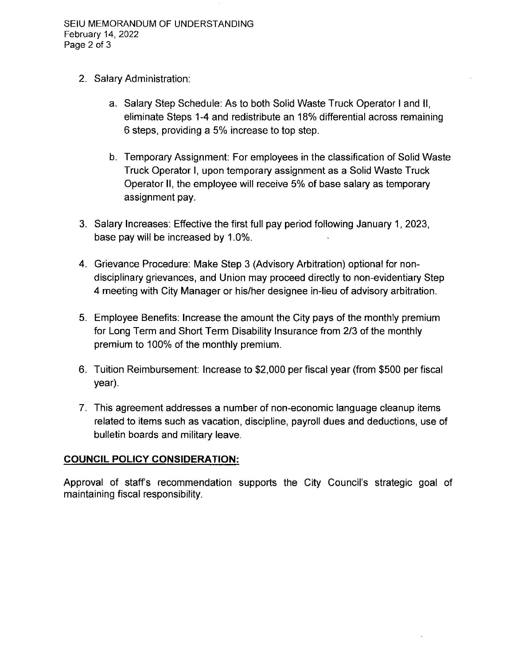- 2. Salary Administration:
	- a. Salary Step Schedule: As to both Solid Waste Truck Operator I and II, eliminate Steps 1-4 and redistribute an 18% differential across remaining 6 steps, providing a 5% increase to top step.
	- b. Temporary Assignment: For employees in the classification of Solid Waste Truck Operator I, upon temporary assignment as a Solid Waste Truck Operator II, the employee will receive 5% of base salary as temporary assignment pay.
- 3. Salary Increases: Effective the first full pay period following January 1, 2023, base pay will be increased by 1.0%.
- 4. Grievance Procedure: Make Step 3 (Advisory Arbitration) optional for nondisciplinary grievances, and Union may proceed directly to non-evidentiary Step 4 meeting with City Manager or his/her designee in-lieu of advisory arbitration.
- 5. Employee Benefits: Increase the amount the City pays of the monthly premium for Long Term and Short Term Disability Insurance from 2/3 of the monthly premium to 100% of the monthly premium.
- 6. Tuition Reimbursement: Increase to \$2,000 per fiscal year (from \$500 per fiscal year).
- 7. This agreement addresses a number of non-economic language cleanup items related to items such as vacation, discipline, payroll dues and deductions, use of bulletin boards and military leave.

# **COUNCIL POLICY CONSIDERATION:**

Approval of staff's recommendation supports the City Council's strategic goal of maintaining fiscal responsibility.